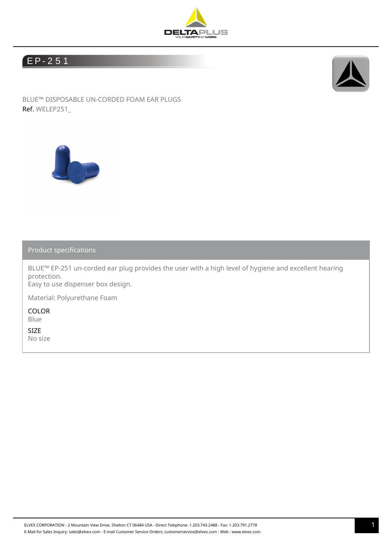

## E P- 2 5 1



BLUE™ DISPOSABLE UN-CORDED FOAM EAR PLUGS Ref. WELEP251\_



Product specifications

BLUE™ EP-251 un-corded ear plug provides the user with a high level of hygiene and excellent hearing protection. Easy to use dispenser box design.

Material: Polyurethane Foam

COLOR Blue

SIZE No size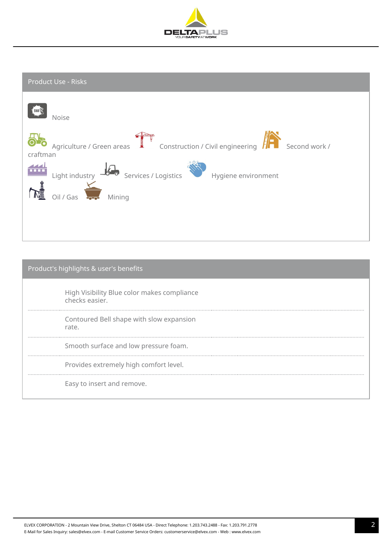

| Product Use - Risks                                                                        |
|--------------------------------------------------------------------------------------------|
| Noise                                                                                      |
| Agriculture / Green areas<br>Construction / Civil engineering<br>Second work /<br>craftman |
| Services / Logistics<br>Light industry $-6$<br>Hygiene environment                         |
| Oil / Gas<br>Mining<br>نصحب                                                                |
|                                                                                            |

| Product's highlights & user's benefits                        |  |  |  |  |
|---------------------------------------------------------------|--|--|--|--|
| High Visibility Blue color makes compliance<br>checks easier. |  |  |  |  |
| Contoured Bell shape with slow expansion<br>rate.             |  |  |  |  |
| Smooth surface and low pressure foam.                         |  |  |  |  |
| Provides extremely high comfort level.                        |  |  |  |  |
| Easy to insert and remove.                                    |  |  |  |  |